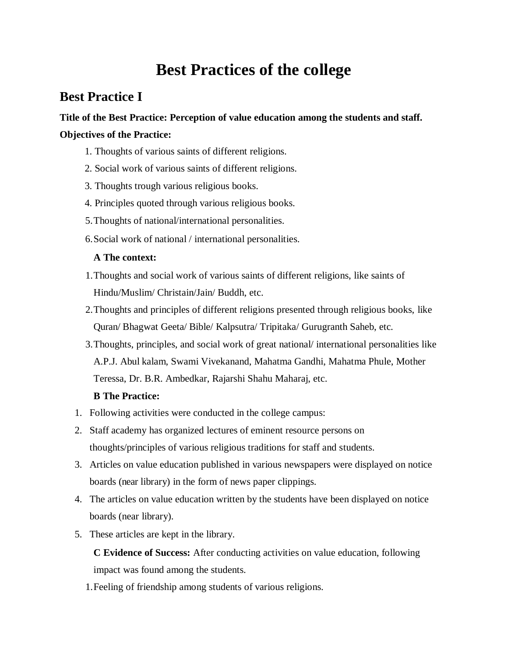# **Best Practices of the college**

## **Best Practice I**

### **Title of the Best Practice: Perception of value education among the students and staff. Objectives of the Practice:**

- 1. Thoughts of various saints of different religions.
- 2. Social work of various saints of different religions.
- 3. Thoughts trough various religious books.
- 4. Principles quoted through various religious books.
- 5.Thoughts of national/international personalities.
- 6.Social work of national / international personalities.

#### **A The context:**

- 1.Thoughts and social work of various saints of different religions, like saints of Hindu/Muslim/ Christain/Jain/ Buddh, etc.
- 2.Thoughts and principles of different religions presented through religious books, like Quran/ Bhagwat Geeta/ Bible/ Kalpsutra/ Tripitaka/ Gurugranth Saheb, etc.
- 3.Thoughts, principles, and social work of great national/ international personalities like A.P.J. Abul kalam, Swami Vivekanand, Mahatma Gandhi, Mahatma Phule, Mother Teressa, Dr. B.R. Ambedkar, Rajarshi Shahu Maharaj, etc.

#### **B The Practice:**

- 1. Following activities were conducted in the college campus:
- 2. Staff academy has organized lectures of eminent resource persons on thoughts/principles of various religious traditions for staff and students.
- 3. Articles on value education published in various newspapers were displayed on notice boards (near library) in the form of news paper clippings.
- 4. The articles on value education written by the students have been displayed on notice boards (near library).
- 5. These articles are kept in the library.

**C Evidence of Success:** After conducting activities on value education, following impact was found among the students.

1.Feeling of friendship among students of various religions.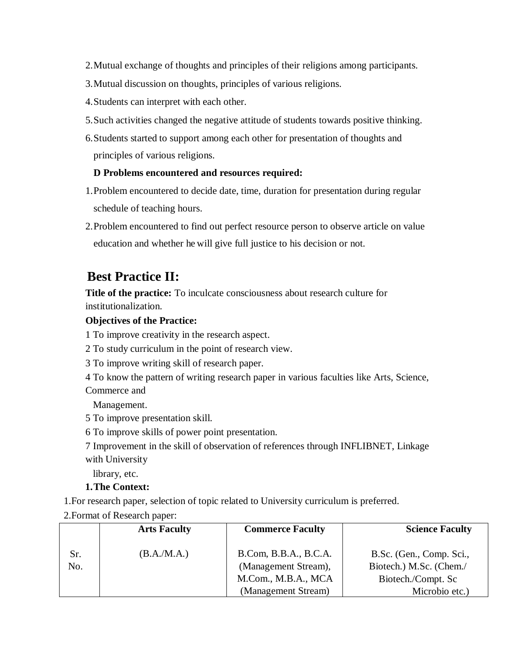- 2.Mutual exchange of thoughts and principles of their religions among participants.
- 3.Mutual discussion on thoughts, principles of various religions.
- 4.Students can interpret with each other.
- 5.Such activities changed the negative attitude of students towards positive thinking.
- 6.Students started to support among each other for presentation of thoughts and principles of various religions.

### **D Problems encountered and resources required:**

- 1.Problem encountered to decide date, time, duration for presentation during regular schedule of teaching hours.
- 2.Problem encountered to find out perfect resource person to observe article on value education and whether he will give full justice to his decision or not.

### **Best Practice II:**

**Title of the practice:** To inculcate consciousness about research culture for institutionalization.

#### **Objectives of the Practice:**

1 To improve creativity in the research aspect.

- 2 To study curriculum in the point of research view.
- 3 To improve writing skill of research paper.
- 4 To know the pattern of writing research paper in various faculties like Arts, Science, Commerce and

Management.

- 5 To improve presentation skill.
- 6 To improve skills of power point presentation.

7 Improvement in the skill of observation of references through INFLIBNET, Linkage with University

library, etc.

#### **1.The Context:**

1.For research paper, selection of topic related to University curriculum is preferred.

2.Format of Research paper:

|            | <b>Arts Faculty</b> | <b>Commerce Faculty</b>                                                                     | <b>Science Faculty</b>                                                                      |
|------------|---------------------|---------------------------------------------------------------------------------------------|---------------------------------------------------------------------------------------------|
| Sr.<br>No. | (B.A.M.A.)          | B.Com, B.B.A., B.C.A.<br>(Management Stream),<br>M.Com., M.B.A., MCA<br>(Management Stream) | B.Sc. (Gen., Comp. Sci.,<br>Biotech.) M.Sc. (Chem./<br>Biotech./Compt. Sc<br>Microbio etc.) |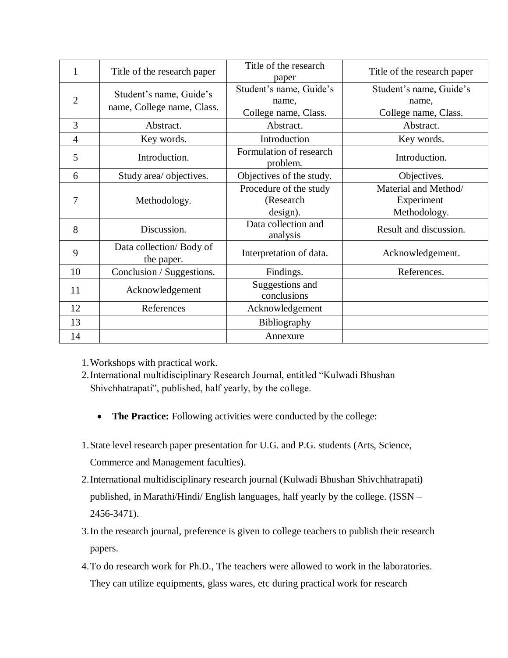| $\mathbf{1}$   | Title of the research paper                           | Title of the research<br>paper                           | Title of the research paper                              |
|----------------|-------------------------------------------------------|----------------------------------------------------------|----------------------------------------------------------|
| $\overline{2}$ | Student's name, Guide's<br>name, College name, Class. | Student's name, Guide's<br>name,<br>College name, Class. | Student's name, Guide's<br>name,<br>College name, Class. |
| 3              | Abstract.                                             | Abstract.                                                | Abstract.                                                |
| $\overline{4}$ | Key words.                                            | Introduction                                             | Key words.                                               |
| 5              | Introduction.                                         | Formulation of research<br>problem.                      | Introduction.                                            |
| 6              | Study area/ objectives.                               | Objectives of the study.                                 | Objectives.                                              |
| 7              | Methodology.                                          | Procedure of the study<br>(Research                      | Material and Method/<br>Experiment                       |
| 8              | Discussion.                                           | design).<br>Data collection and<br>analysis              | Methodology.<br>Result and discussion.                   |
| 9              | Data collection/Body of<br>the paper.                 | Interpretation of data.                                  | Acknowledgement.                                         |
| 10             | Conclusion / Suggestions.                             | Findings.                                                | References.                                              |
| 11             | Acknowledgement                                       | Suggestions and<br>conclusions                           |                                                          |
| 12             | References                                            | Acknowledgement                                          |                                                          |
| 13             |                                                       | Bibliography                                             |                                                          |
| 14             |                                                       | Annexure                                                 |                                                          |

1.Workshops with practical work.

- 2.International multidisciplinary Research Journal, entitled "Kulwadi Bhushan Shivchhatrapati", published, half yearly, by the college.
	- The Practice: Following activities were conducted by the college:
- 1.State level research paper presentation for U.G. and P.G. students (Arts, Science, Commerce and Management faculties).
- 2.International multidisciplinary research journal (Kulwadi Bhushan Shivchhatrapati) published, in Marathi/Hindi/ English languages, half yearly by the college. (ISSN – 2456-3471).
- 3.In the research journal, preference is given to college teachers to publish their research papers.
- 4.To do research work for Ph.D., The teachers were allowed to work in the laboratories. They can utilize equipments, glass wares, etc during practical work for research